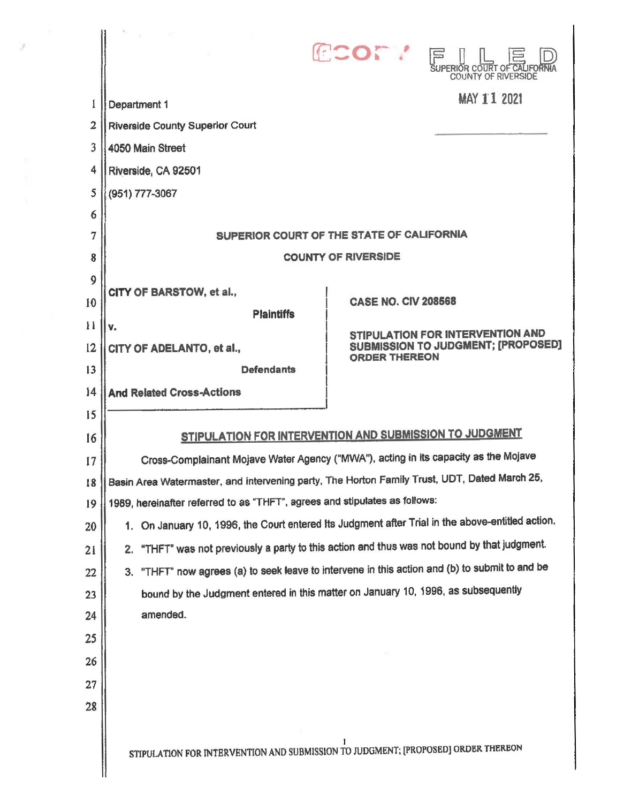|                |                                                                                                  | COM!<br>巨<br>SUPERIOR COURT OF CALIFORNI<br><b>COUNTY OF RIVERSIDE</b> |  |
|----------------|--------------------------------------------------------------------------------------------------|------------------------------------------------------------------------|--|
|                | Department 1                                                                                     | MAY 11 2021                                                            |  |
| $\overline{2}$ | <b>Riverside County Superior Court</b>                                                           |                                                                        |  |
| 3              | 4050 Main Street                                                                                 |                                                                        |  |
| 4              | Riverside, CA 92501                                                                              |                                                                        |  |
| 5              | (951) 777-3067                                                                                   |                                                                        |  |
| 6              |                                                                                                  |                                                                        |  |
| 7              | SUPERIOR COURT OF THE STATE OF CALIFORNIA                                                        |                                                                        |  |
| 8              | <b>COUNTY OF RIVERSIDE</b>                                                                       |                                                                        |  |
| 9              | CITY OF BARSTOW, et al.,                                                                         |                                                                        |  |
| 10             | <b>Plaintiffs</b>                                                                                | <b>CASE NO. CIV 208568</b>                                             |  |
| $\mathbf{1}$   | v.                                                                                               | STIPULATION FOR INTERVENTION AND                                       |  |
| 12             | CITY OF ADELANTO, et al.,                                                                        | SUBMISSION TO JUDGMENT; [PROPOSED]<br><b>ORDER THEREON</b>             |  |
| 13             | <b>Defendants</b>                                                                                |                                                                        |  |
| 14             | <b>And Related Cross-Actions</b>                                                                 |                                                                        |  |
| 15             |                                                                                                  |                                                                        |  |
| 16             | STIPULATION FOR INTERVENTION AND SUBMISSION TO JUDGMENT                                          |                                                                        |  |
| 17             | Cross-Complainant Mojave Water Agency ("MWA"), acting in its capacity as the Mojave              |                                                                        |  |
| 18             | Basin Area Watermaster, and intervening party, The Horton Family Trust, UDT, Dated March 25,     |                                                                        |  |
| 19             | 1989, hereinafter referred to as "THFT", agrees and stipulates as follows:                       |                                                                        |  |
| 20             | 1. On January 10, 1996, the Court entered its Judgment after Trial in the above-entitled action. |                                                                        |  |
| 21             | "THFT" was not previously a party to this action and thus was not bound by that judgment.<br>2.  |                                                                        |  |
| 22             | 3. "THFT" now agrees (a) to seek leave to intervene in this action and (b) to submit to and be   |                                                                        |  |
| 23             | bound by the Judgment entered in this matter on January 10, 1996, as subsequently<br>amended.    |                                                                        |  |
| 24             |                                                                                                  |                                                                        |  |
| 25             |                                                                                                  |                                                                        |  |
| 26             |                                                                                                  |                                                                        |  |
| 27             |                                                                                                  |                                                                        |  |
| 28             |                                                                                                  |                                                                        |  |
|                | STIPULATION FOR INTERVENTION AND SUBMISSION TO JUDGMENT; [PROPOSED] ORDER THEREON                |                                                                        |  |

- 91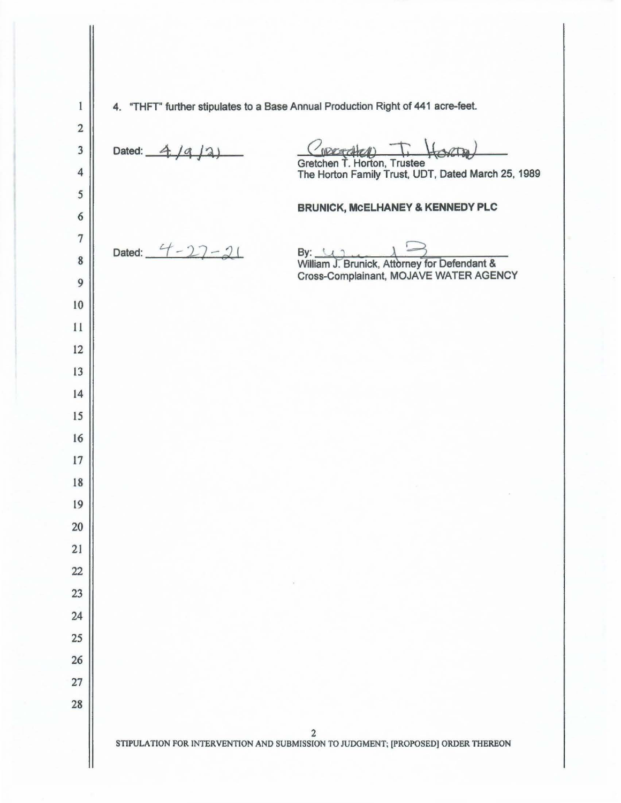$\mathbf{1}$ 4. "THFT'' further stipulates to a Base Annual Production Right of 441 acre-feet. Dated:  $-4$  /a /2  $a\infty$ Gretchen T. Horton, Trustee The Horton Family Trust. UDT. Dated March 25, 1989 **BRUNICK, McELHANEY & KENNEDY PLC**  Dated:  $4 - 27 - 21$ By:  $\sqrt{1}$  William J. Brunick, Attorney for Defendant & Cross-Complainant, MOJAVE WATER AGENCY STIPULATION FOR INTERVENTION AND SUBMISSION TO JUDGMENT; [PROPOSED] ORDER THEREON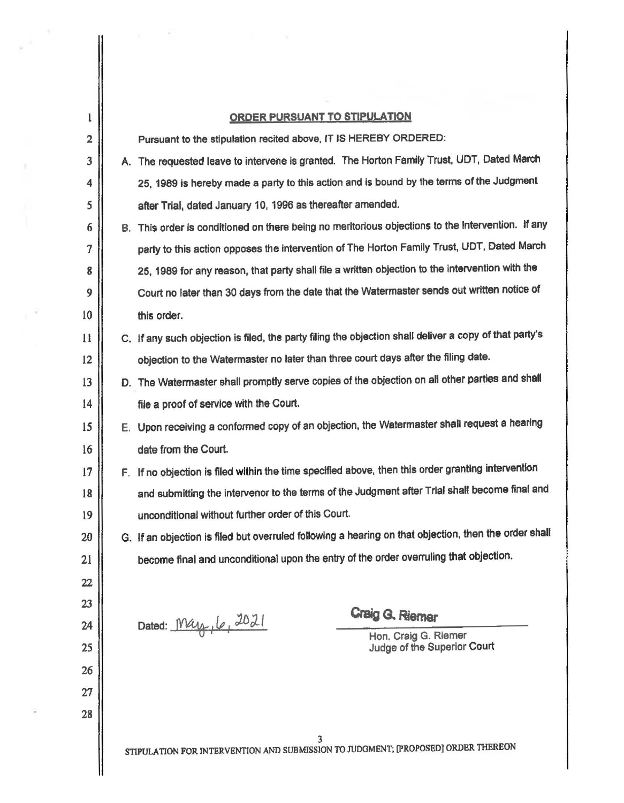| l              | <b>ORDER PURSUANT TO STIPULATION</b> |                                                                                                        |                             |  |
|----------------|--------------------------------------|--------------------------------------------------------------------------------------------------------|-----------------------------|--|
| 2              |                                      | Pursuant to the stipulation recited above, IT IS HEREBY ORDERED:                                       |                             |  |
| 3              |                                      | A. The requested leave to intervene is granted. The Horton Family Trust, UDT, Dated March              |                             |  |
| 4              |                                      | 25, 1989 is hereby made a party to this action and is bound by the terms of the Judgment               |                             |  |
| 5              |                                      | after Trial, dated January 10, 1996 as thereafter amended.                                             |                             |  |
| 6              |                                      | B. This order is conditioned on there being no meritorious objections to the intervention. If any      |                             |  |
| $\overline{7}$ |                                      | party to this action opposes the intervention of The Horton Family Trust, UDT, Dated March             |                             |  |
| 8              |                                      | 25, 1989 for any reason, that party shall file a written objection to the intervention with the        |                             |  |
| 9              |                                      | Court no later than 30 days from the date that the Watermaster sends out written notice of             |                             |  |
| 10             |                                      | this order.                                                                                            |                             |  |
| $\mathbf{1}$   |                                      | C. If any such objection is filed, the party filing the objection shall deliver a copy of that party's |                             |  |
| 12             |                                      | objection to the Watermaster no later than three court days after the filing date.                     |                             |  |
| 13             |                                      | D. The Watermaster shall promptly serve copies of the objection on all other parties and shall         |                             |  |
| 14             |                                      | file a proof of service with the Court.                                                                |                             |  |
| 15             |                                      | E. Upon receiving a conformed copy of an objection, the Watermaster shall request a hearing            |                             |  |
| 16             |                                      | date from the Court.                                                                                   |                             |  |
| 17             |                                      | F. If no objection is filed within the time specified above, then this order granting intervention     |                             |  |
| 18             |                                      | and submitting the intervenor to the terms of the Judgment after Trial shall become final and          |                             |  |
| 19             |                                      | unconditional without further order of this Court.                                                     |                             |  |
| 20             |                                      | G. If an objection is filed but overruled following a hearing on that objection, then the order shall  |                             |  |
| 21             |                                      | become final and unconditional upon the entry of the order overruling that objection.                  |                             |  |
| 22             |                                      |                                                                                                        |                             |  |
| 23             |                                      |                                                                                                        | Craig G. Riemer             |  |
| 24             |                                      | Dated: May, 6, 2021                                                                                    | Hon. Craig G. Riemer        |  |
| 25             |                                      |                                                                                                        | Judge of the Superior Court |  |
| 26             |                                      |                                                                                                        |                             |  |
| 27             |                                      |                                                                                                        |                             |  |
| 28             |                                      |                                                                                                        |                             |  |
|                |                                      | STIPULATION FOR INTERVENTION AND SUBMISSION TO JUDGMENT; [PROPOSED] ORDER THEREON                      |                             |  |

 $\mathcal{A}^{\rm eff}$  ,  $\mathcal{A}^{\rm eff}$ 

 $\begin{array}{c} \hline \end{array}$ 

ł

 $\langle \rangle$ 

 $\mu^{-1}$ 

 $\overline{\phantom{a}}$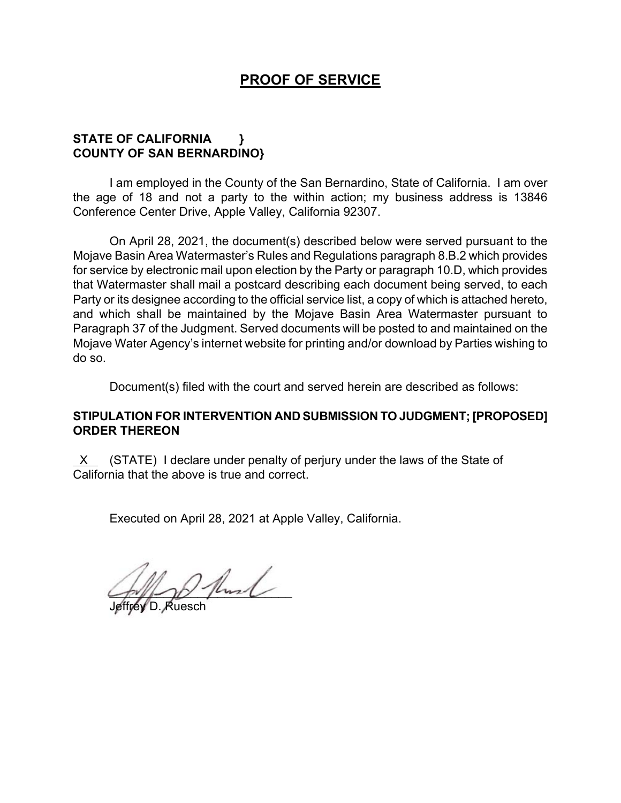## **PROOF OF SERVICE**

## **STATE OF CALIFORNIA } COUNTY OF SAN BERNARDINO}**

I am employed in the County of the San Bernardino, State of California. I am over the age of 18 and not a party to the within action; my business address is 13846 Conference Center Drive, Apple Valley, California 92307.

On April 28, 2021, the document(s) described below were served pursuant to the Mojave Basin Area Watermaster's Rules and Regulations paragraph 8.B.2 which provides for service by electronic mail upon election by the Party or paragraph 10.D, which provides that Watermaster shall mail a postcard describing each document being served, to each Party or its designee according to the official service list, a copy of which is attached hereto, and which shall be maintained by the Mojave Basin Area Watermaster pursuant to Paragraph 37 of the Judgment. Served documents will be posted to and maintained on the Mojave Water Agency's internet website for printing and/or download by Parties wishing to do so.

Document(s) filed with the court and served herein are described as follows:

## **STIPULATION FOR INTERVENTION AND SUBMISSION TO JUDGMENT; [PROPOSED] ORDER THEREON**

 $X$  (STATE) I declare under penalty of perjury under the laws of the State of California that the above is true and correct.

Executed on April 28, 2021 at Apple Valley, California.

 $2$  fluid

Jeffrey D. Ruesch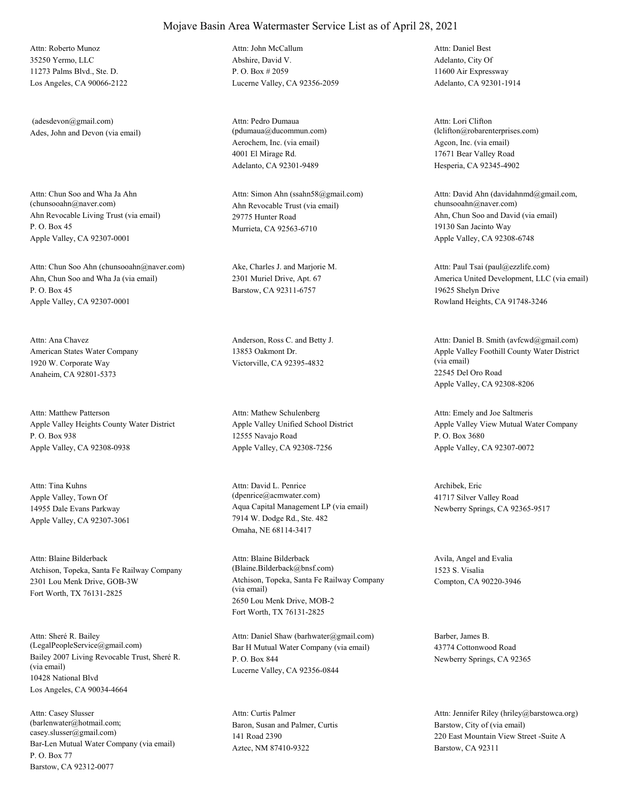35250 Yermo, LLC 11273 Palms Blvd., Ste. D. Los Angeles, CA 90066-2122 Attn: Roberto Munoz

Ades, John and Devon (via email) (adesdevon@gmail.com)

Ahn Revocable Living Trust (via email) P. O. Box 45 Apple Valley, CA 92307-0001 Attn: Chun Soo and Wha Ja Ahn<br>(chunsooahn@naver.com)

Ahn, Chun Soo and Wha Ja (via email) P. O. Box 45 Apple Valley, CA 92307-0001 Attn: Chun Soo Ahn (chunsooahn@naver.com) Ake, Charles J. and Marjorie M.

American States Water Company 1920 W. Corporate Way Anaheim, CA 92801-5373 Attn: Ana Chavez **Anderson, Ross C.** and Betty J.

Apple Valley Heights County Water District P. O. Box 938 Apple Valley, CA 92308-0938 Attn: Matthew Patterson

Apple Valley, Town Of 14955 Dale Evans Parkway Apple Valley, CA 92307-3061 Attn: Tina Kuhns

Atchison, Topeka, Santa Fe Railway Company 2301 Lou Menk Drive, GOB-3W Fort Worth, TX 76131-2825 Attn: Blaine Bilderback

Bailey 2007 Living Revocable Trust, Sheré R. (via email) 10428 National Blvd Los Angeles, CA 90034-4664 Attn: Sheré R. Bailey<br>(LegalPeopleService@gmail.com)

Bar-Len Mutual Water Company (via email) P. O. Box 77 Barstow, CA 92312-0077 Attn: Casey Slusser (barlenwater@hotmail.com; casey.slusser@gmail.com)

Abshire, David V. P. O. Box # 2059 Lucerne Valley, CA 92356-2059 Attn: John McCallum

Aerochem, Inc. (via email) 4001 El Mirage Rd. Adelanto, CA 92301-9489 Attn: Pedro Dumaua (pdumaua@ducommun.com)

Ahn Revocable Trust (via email) 29775 Hunter Road Murrieta, CA 92563-6710 Attn: Simon Ahn (ssahn58@gmail.com)

2301 Muriel Drive, Apt. 67 Barstow, CA 92311-6757

13853 Oakmont Dr. Victorville, CA 92395-4832

Apple Valley Unified School District 12555 Navajo Road Apple Valley, CA 92308-7256 Attn: Mathew Schulenberg

Aqua Capital Management LP (via email) 7914 W. Dodge Rd., Ste. 482 Omaha, NE 68114-3417 Attn: David L. Penrice (dpenrice@acmwater.com)

Atchison, Topeka, Santa Fe Railway Company (via email) 2650 Lou Menk Drive, MOB-2 Fort Worth, TX 76131-2825 Attn: Blaine Bilderback (Blaine.Bilderback@bnsf.com)

Bar H Mutual Water Company (via email) P. O. Box 844 Lucerne Valley, CA 92356-0844 Attn: Daniel Shaw (barhwater@gmail.com) Barber, James B.

Baron, Susan and Palmer, Curtis 141 Road 2390 Aztec, NM 87410-9322 Attn: Curtis Palmer

Adelanto, City Of 11600 Air Expressway Adelanto, CA 92301-1914 Attn: Daniel Best

Agcon, Inc. (via email) 17671 Bear Valley Road Hesperia, CA 92345-4902 Attn: Lori Clifton (lclifton@robarenterprises.com)

Ahn, Chun Soo and David (via email) 19130 San Jacinto Way Apple Valley, CA 92308-6748 Attn: David Ahn (davidahnmd@gmail.com, chunsooahn@naver.com)

America United Development, LLC (via email) 19625 Shelyn Drive Rowland Heights, CA 91748-3246 Attn: Paul Tsai (paul@ezzlife.com)

Apple Valley Foothill County Water District (via email) 22545 Del Oro Road Apple Valley, CA 92308-8206 Attn: Daniel B. Smith (avfcwd@gmail.com)

Apple Valley View Mutual Water Company P. O. Box 3680 Apple Valley, CA 92307-0072 Attn: Emely and Joe Saltmeris

Archibek, Eric 41717 Silver Valley Road Newberry Springs, CA 92365-9517

Avila, Angel and Evalia 1523 S. Visalia Compton, CA 90220-3946

43774 Cottonwood Road Newberry Springs, CA 92365

Barstow, City of (via email) 220 East Mountain View Street -Suite A Barstow, CA 92311 Attn: Jennifer Riley (hriley@barstowca.org)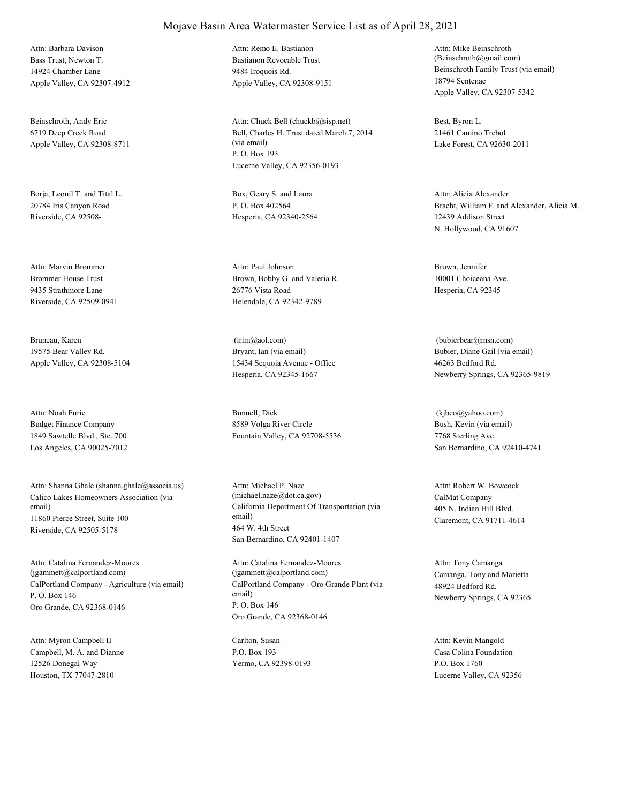Bass Trust, Newton T. 14924 Chamber Lane Apple Valley, CA 92307-4912 Attn: Barbara Davison

Beinschroth, Andy Eric 6719 Deep Creek Road Apple Valley, CA 92308-8711

Borja, Leonil T. and Tital L. 20784 Iris Canyon Road Riverside, CA 92508-

Brommer House Trust 9435 Strathmore Lane Riverside, CA 92509-0941 Attn: Marvin Brommer

Bruneau, Karen 19575 Bear Valley Rd. Apple Valley, CA 92308-5104

Budget Finance Company 1849 Sawtelle Blvd., Ste. 700 Los Angeles, CA 90025-7012 Attn: Noah Furie Bunnell, Dick

Calico Lakes Homeowners Association (via email) 11860 Pierce Street, Suite 100 Riverside, CA 92505-5178 Attn: Shanna Ghale (shanna.ghale@associa.us)

CalPortland Company - Agriculture (via email) P. O. Box 146 Oro Grande, CA 92368-0146 Attn: Catalina Fernandez-Moores (jgammett@calportland.com)

Campbell, M. A. and Dianne 12526 Donegal Way Houston, TX 77047-2810 Attn: Myron Campbell II Carlton, Susan

#### Mojave Basin Area Watermaster Service List as of April 28, 2021

Bastianon Revocable Trust 9484 Iroquois Rd. Apple Valley, CA 92308-9151 Attn: Remo E. Bastianon

Bell, Charles H. Trust dated March 7, 2014 (via email) P. O. Box 193 Lucerne Valley, CA 92356-0193 Attn: Chuck Bell (chuckb@sisp.net) Best, Byron L.

Box, Geary S. and Laura P. O. Box 402564 Hesperia, CA 92340-2564

Brown, Bobby G. and Valeria R. 26776 Vista Road Helendale, CA 92342-9789 Attn: Paul Johnson Brown, Jennifer

Bryant, Ian (via email) 15434 Sequoia Avenue - Office Hesperia, CA 92345-1667 (irim@aol.com)

8589 Volga River Circle Fountain Valley, CA 92708-5536

California Department Of Transportation (via email) 464 W. 4th Street San Bernardino, CA 92401-1407 Attn: Michael P. Naze (michael.naze@dot.ca.gov) CalMat Company

CalPortland Company - Oro Grande Plant (via email) P. O. Box 146 Oro Grande, CA 92368-0146 Attn: Catalina Fernandez-Moores (jgammett@calportland.com) Camanga, Tony and Marietta

P.O. Box 193 Yermo, CA 92398-0193

Beinschroth Family Trust (via email) 18794 Sentenac Apple Valley, CA 92307-5342 Attn: Mike Beinschroth (Beinschroth@gmail.com)

21461 Camino Trebol Lake Forest, CA 92630-2011

Bracht, William F. and Alexander, Alicia M. 12439 Addison Street N. Hollywood, CA 91607 Attn: Alicia Alexander

10001 Choiceana Ave. Hesperia, CA 92345

Bubier, Diane Gail (via email) 46263 Bedford Rd. Newberry Springs, CA 92365-9819 (bubierbear@msn.com)

Bush, Kevin (via email) 7768 Sterling Ave. San Bernardino, CA 92410-4741 (kjbco@yahoo.com)

405 N. Indian Hill Blvd. Claremont, CA 91711-4614 Attn: Robert W. Bowcock

48924 Bedford Rd. Newberry Springs, CA 92365 Attn: Tony Camanga

Casa Colina Foundation P.O. Box 1760 Lucerne Valley, CA 92356 Attn: Kevin Mangold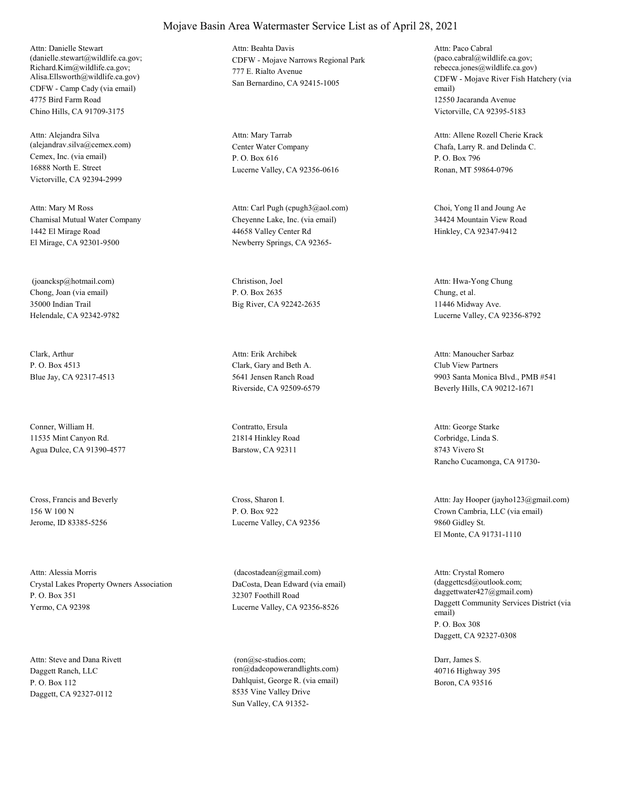CDFW - Camp Cady (via email) 4775 Bird Farm Road Chino Hills, CA 91709-3175 Attn: Danielle Stewart (danielle.stewart@wildlife.ca.gov; Richard.Kim@wildlife.ca.gov; Alisa.Ellsworth@wildlife.ca.gov)

Cemex, Inc. (via email) 16888 North E. Street Victorville, CA 92394-2999 Attn: Alejandra Silva (alejandrav.silva@cemex.com) Center Water Company

Chamisal Mutual Water Company 1442 El Mirage Road El Mirage, CA 92301-9500 Attn: Mary M Ross

Chong, Joan (via email) 35000 Indian Trail Helendale, CA 92342-9782 (joancksp@hotmail.com) Christison, Joel

Clark, Arthur P. O. Box 4513 Blue Jay, CA 92317-4513

Conner, William H. 11535 Mint Canyon Rd. Agua Dulce, CA 91390-4577

Cross, Francis and Beverly 156 W 100 N Jerome, ID 83385-5256

Crystal Lakes Property Owners Association P. O. Box 351 Yermo, CA 92398 Attn: Alessia Morris

Daggett Ranch, LLC P. O. Box 112 Daggett, CA 92327-0112 Attn: Steve and Dana Rivett CDFW - Mojave Narrows Regional Park 777 E. Rialto Avenue San Bernardino, CA 92415-1005 Attn: Beahta Davis

P. O. Box 616 Lucerne Valley, CA 92356-0616 Attn: Mary Tarrab

Cheyenne Lake, Inc. (via email) 44658 Valley Center Rd Newberry Springs, CA 92365- Attn: Carl Pugh (cpugh3@aol.com) Choi, Yong Il and Joung Ae

P. O. Box 2635 Big River, CA 92242-2635

Clark, Gary and Beth A. 5641 Jensen Ranch Road Riverside, CA 92509-6579 Attn: Erik Archibek

Contratto, Ersula 21814 Hinkley Road Barstow, CA 92311

Cross, Sharon I. P. O. Box 922 Lucerne Valley, CA 92356

DaCosta, Dean Edward (via email) 32307 Foothill Road Lucerne Valley, CA 92356-8526 (dacostadean@gmail.com)

Dahlquist, George R. (via email) 8535 Vine Valley Drive Sun Valley, CA 91352- (ron@sc-studios.com; ron@dadcopowerandlights.com) CDFW - Mojave River Fish Hatchery (via email) 12550 Jacaranda Avenue Victorville, CA 92395-5183 Attn: Paco Cabral (paco.cabral@wildlife.ca.gov; rebecca.jones@wildlife.ca.gov)

Chafa, Larry R. and Delinda C. P. O. Box 796 Ronan, MT 59864-0796 Attn: Allene Rozell Cherie Krack

34424 Mountain View Road Hinkley, CA 92347-9412

Chung, et al. 11446 Midway Ave. Lucerne Valley, CA 92356-8792 Attn: Hwa-Yong Chung

Club View Partners 9903 Santa Monica Blvd., PMB #541 Beverly Hills, CA 90212-1671 Attn: Manoucher Sarbaz

Corbridge, Linda S. 8743 Vivero St Rancho Cucamonga, CA 91730- Attn: George Starke

Crown Cambria, LLC (via email) 9860 Gidley St. El Monte, CA 91731-1110 Attn: Jay Hooper (jayho123@gmail.com)

Daggett Community Services District (via email) P. O. Box 308 Daggett, CA 92327-0308 Attn: Crystal Romero (daggettcsd@outlook.com; daggettwater427@gmail.com)

Darr, James S. 40716 Highway 395 Boron, CA 93516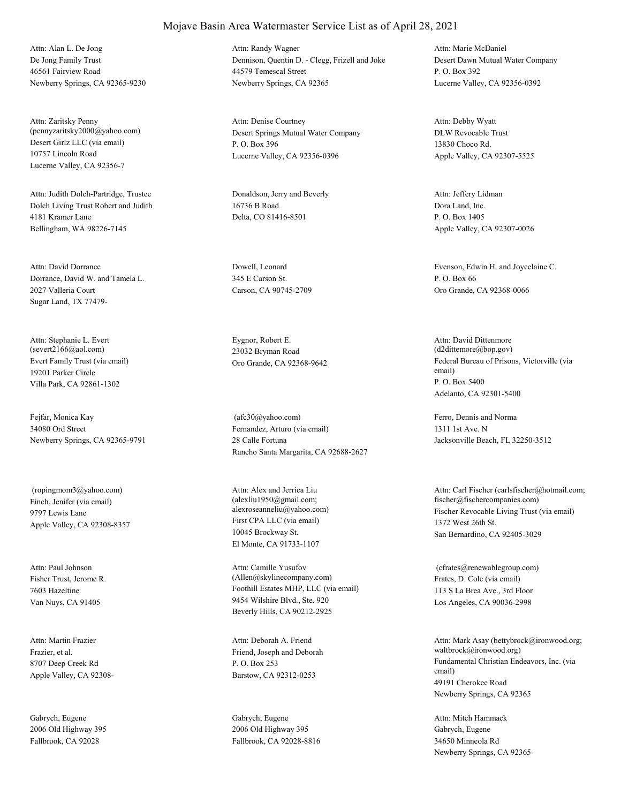De Jong Family Trust 46561 Fairview Road Newberry Springs, CA 92365-9230 Attn: Alan L. De Jong

Desert Girlz LLC (via email) 10757 Lincoln Road Lucerne Valley, CA 92356-7 Attn: Zaritsky Penny

Dolch Living Trust Robert and Judith 4181 Kramer Lane Bellingham, WA 98226-7145 Attn: Judith Dolch-Partridge, Trustee Donaldson, Jerry and Beverly

Dorrance, David W. and Tamela L. 2027 Valleria Court Sugar Land, TX 77479- Attn: David Dorrance Dowell, Leonard

Evert Family Trust (via email) 19201 Parker Circle Villa Park, CA 92861-1302 Attn: Stephanie L. Evert (severt2166@aol.com)

Fejfar, Monica Kay 34080 Ord Street Newberry Springs, CA 92365-9791

Finch, Jenifer (via email) 9797 Lewis Lane Apple Valley, CA 92308-8357 (ropingmom3@yahoo.com)

Fisher Trust, Jerome R. 7603 Hazeltine Van Nuys, CA 91405 Attn: Paul Johnson

Frazier, et al. 8707 Deep Creek Rd Apple Valley, CA 92308- Attn: Martin Frazier

Gabrych, Eugene 2006 Old Highway 395 Fallbrook, CA 92028

#### Mojave Basin Area Watermaster Service List as of April 28, 2021

Dennison, Quentin D. - Clegg, Frizell and Joke 44579 Temescal Street Newberry Springs, CA 92365 Attn: Randy Wagner

(pennyzaritsky2000@yahoo.com) Desert Springs Mutual Water Company P. O. Box 396 Lucerne Valley, CA 92356-0396 Attn: Denise Courtney

> 16736 B Road Delta, CO 81416-8501

345 E Carson St. Carson, CA 90745-2709

Eygnor, Robert E. 23032 Bryman Road

Fernandez, Arturo (via email) 28 Calle Fortuna Rancho Santa Margarita, CA 92688-2627 (afc30@yahoo.com) Ferro, Dennis and Norma

First CPA LLC (via email) 10045 Brockway St. El Monte, CA 91733-1107 Attn: Alex and Jerrica Liu (alexliu1950@gmail.com;

Foothill Estates MHP, LLC (via email) 9454 Wilshire Blvd., Ste. 920 Beverly Hills, CA 90212-2925 Attn: Camille Yusufov (Allen@skylinecompany.com) Frates, D. Cole (via email)

Friend, Joseph and Deborah P. O. Box 253 Barstow, CA 92312-0253 Attn: Deborah A. Friend

Gabrych, Eugene 2006 Old Highway 395 Fallbrook, CA 92028-8816 Desert Dawn Mutual Water Company P. O. Box 392 Lucerne Valley, CA 92356-0392 Attn: Marie McDaniel

DLW Revocable Trust 13830 Choco Rd. Apple Valley, CA 92307-5525 Attn: Debby Wyatt

Dora Land, Inc. P. O. Box 1405 Apple Valley, CA 92307-0026 Attn: Jeffery Lidman

Evenson, Edwin H. and Joycelaine C. P. O. Box 66 Oro Grande, CA 92368-0066

Oro Grande, CA 92368-9642 Federal Bureau of Prisons, Victorville (via email) P. O. Box 5400 Adelanto, CA 92301-5400 Attn: David Dittenmore (d2dittemore@bop.gov)

> 1311 1st Ave. N Jacksonville Beach, FL 32250-3512

alexroseanneliu@yahoo.com) Fischer Revocable Living Trust (via email) 1372 West 26th St. San Bernardino, CA 92405-3029 Attn: Carl Fischer (carlsfischer@hotmail.com; fischer@fischercompanies.com)

> 113 S La Brea Ave., 3rd Floor Los Angeles, CA 90036-2998 (cfrates@renewablegroup.com)

Fundamental Christian Endeavors, Inc. (via email) 49191 Cherokee Road Newberry Springs, CA 92365 Attn: Mark Asay (bettybrock@ironwood.org; waltbrock@ironwood.org)

Gabrych, Eugene 34650 Minneola Rd Newberry Springs, CA 92365- Attn: Mitch Hammack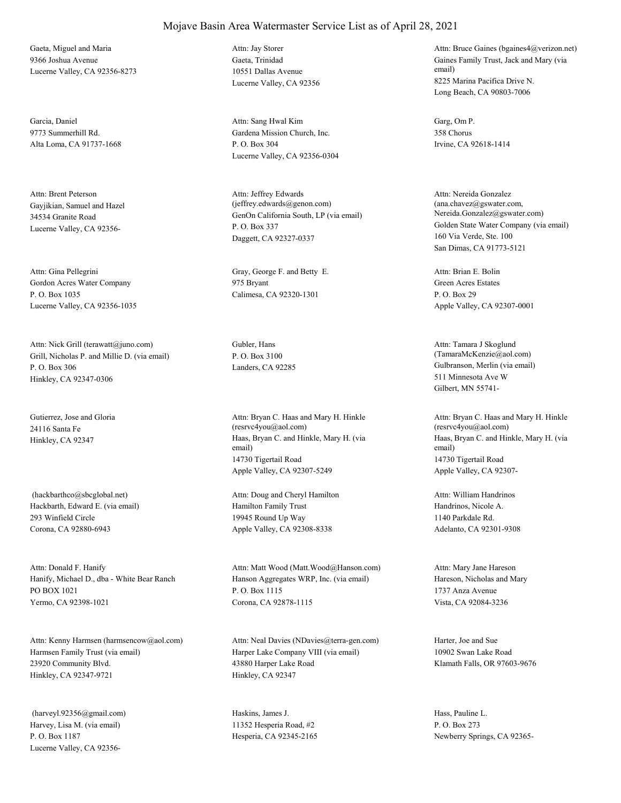Gaeta, Miguel and Maria 9366 Joshua Avenue Lucerne Valley, CA 92356-8273

Garcia, Daniel 9773 Summerhill Rd. Alta Loma, CA 91737-1668

Gayjikian, Samuel and Hazel 34534 Granite Road Lucerne Valley, CA 92356- Attn: Brent Peterson

Gordon Acres Water Company P. O. Box 1035 Lucerne Valley, CA 92356-1035 Attn: Gina Pellegrini Gray, George F. and Betty E.

Grill, Nicholas P. and Millie D. (via email) P. O. Box 306 Hinkley, CA 92347-0306 Attn: Nick Grill (terawatt@juno.com) Gubler, Hans

Gutierrez, Jose and Gloria 24116 Santa Fe

Hackbarth, Edward E. (via email) 293 Winfield Circle Corona, CA 92880-6943 (hackbarthco@sbcglobal.net)

Hanify, Michael D., dba - White Bear Ranch PO BOX 1021 Yermo, CA 92398-1021 Attn: Donald F. Hanify

Harmsen Family Trust (via email) 23920 Community Blvd. Hinkley, CA 92347-9721 Attn: Kenny Harmsen (harmsencow@aol.com)

Harvey, Lisa M. (via email) P. O. Box 1187 Lucerne Valley, CA 92356- (harveyl.92356@gmail.com) Haskins, James J.

Gaeta, Trinidad 10551 Dallas Avenue Lucerne Valley, CA 92356 Attn: Jay Storer

Gardena Mission Church, Inc. P. O. Box 304 Lucerne Valley, CA 92356-0304 Attn: Sang Hwal Kim Garg, Om P.

GenOn California South, LP (via email) P. O. Box 337 Daggett, CA 92327-0337 Attn: Jeffrey Edwards (jeffrey.edwards@genon.com)

975 Bryant Calimesa, CA 92320-1301

P. O. Box 3100

Hinkley, CA 92347 Haas, Bryan C. and Hinkle, Mary H. (via email) 14730 Tigertail Road Apple Valley, CA 92307-5249 Attn: Bryan C. Haas and Mary H. Hinkle (resrvc4you@aol.com)

> Hamilton Family Trust 19945 Round Up Way Apple Valley, CA 92308-8338 Attn: Doug and Cheryl Hamilton

Hanson Aggregates WRP, Inc. (via email) P. O. Box 1115 Corona, CA 92878-1115 Attn: Matt Wood (Matt.Wood@Hanson.com)

Harper Lake Company VIII (via email) 43880 Harper Lake Road Hinkley, CA 92347 Attn: Neal Davies (NDavies@terra-gen.com) Harter, Joe and Sue

11352 Hesperia Road, #2 Hesperia, CA 92345-2165 Gaines Family Trust, Jack and Mary (via email) 8225 Marina Pacifica Drive N. Long Beach, CA 90803-7006 Attn: Bruce Gaines (bgaines4@verizon.net)

358 Chorus Irvine, CA 92618-1414

Golden State Water Company (via email) 160 Via Verde, Ste. 100 San Dimas, CA 91773-5121 Attn: Nereida Gonzalez (ana.chavez@gswater.com, Nereida.Gonzalez@gswater.com)

Green Acres Estates P. O. Box 29 Apple Valley, CA 92307-0001 Attn: Brian E. Bolin

Landers, CA 92285 Gulbranson, Merlin (via email) 511 Minnesota Ave W Gilbert, MN 55741- Attn: Tamara J Skoglund (TamaraMcKenzie@aol.com)

> Haas, Bryan C. and Hinkle, Mary H. (via email) 14730 Tigertail Road Apple Valley, CA 92307- Attn: Bryan C. Haas and Mary H. Hinkle (resrvc4you@aol.com)

Handrinos, Nicole A. 1140 Parkdale Rd. Adelanto, CA 92301-9308 Attn: William Handrinos

Hareson, Nicholas and Mary 1737 Anza Avenue Vista, CA 92084-3236 Attn: Mary Jane Hareson

10902 Swan Lake Road Klamath Falls, OR 97603-9676

Hass, Pauline L. P. O. Box 273 Newberry Springs, CA 92365-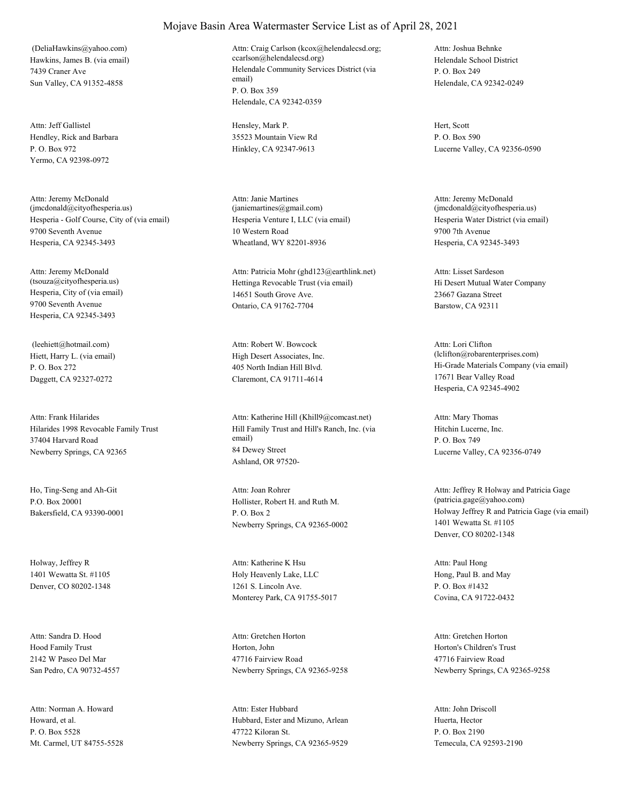Hawkins, James B. (via email) 7439 Craner Ave Sun Valley, CA 91352-4858 (DeliaHawkins@yahoo.com)

Hendley, Rick and Barbara P. O. Box 972 Yermo, CA 92398-0972 Attn: Jeff Gallistel Hensley, Mark P.

Hesperia - Golf Course, City of (via email) 9700 Seventh Avenue Hesperia, CA 92345-3493 Attn: Jeremy McDonald (jmcdonald@cityofhesperia.us)

Hesperia, City of (via email) 9700 Seventh Avenue Hesperia, CA 92345-3493 Attn: Jeremy McDonald

Hiett, Harry L. (via email) P. O. Box 272 Daggett, CA 92327-0272 (leehiett@hotmail.com)

Hilarides 1998 Revocable Family Trust 37404 Harvard Road Newberry Springs, CA 92365 Attn: Frank Hilarides

Ho, Ting-Seng and Ah-Git P.O. Box 20001 Bakersfield, CA 93390-0001

Holway, Jeffrey R 1401 Wewatta St. #1105 Denver, CO 80202-1348

Hood Family Trust 2142 W Paseo Del Mar San Pedro, CA 90732-4557 Attn: Sandra D. Hood

Howard, et al. P. O. Box 5528 Mt. Carmel, UT 84755-5528 Attn: Norman A. Howard

#### Mojave Basin Area Watermaster Service List as of April 28, 2021

Helendale Community Services District (via email) P. O. Box 359 Helendale, CA 92342-0359 Attn: Craig Carlson (kcox@helendalecsd.org; ccarlson@helendalecsd.org) Helendale School District

35523 Mountain View Rd Hinkley, CA 92347-9613

Hesperia Venture I, LLC (via email) 10 Western Road Wheatland, WY 82201-8936 Attn: Janie Martines (janiemartines@gmail.com)

(tsouza@cityofhesperia.us) Hettinga Revocable Trust (via email) 14651 South Grove Ave. Ontario, CA 91762-7704 Attn: Patricia Mohr (ghd123@earthlink.net)

> High Desert Associates, Inc. 405 North Indian Hill Blvd. Claremont, CA 91711-4614 Attn: Robert W. Bowcock

Hill Family Trust and Hill's Ranch, Inc. (via email) 84 Dewey Street Ashland, OR 97520- Attn: Katherine Hill (Khill9@comcast.net)

Hollister, Robert H. and Ruth M. P. O. Box 2 Newberry Springs, CA 92365-0002 Attn: Joan Rohrer

Holy Heavenly Lake, LLC 1261 S. Lincoln Ave. Monterey Park, CA 91755-5017 Attn: Katherine K Hsu

Horton, John 47716 Fairview Road Newberry Springs, CA 92365-9258 Attn: Gretchen Horton

Hubbard, Ester and Mizuno, Arlean 47722 Kiloran St. Newberry Springs, CA 92365-9529 Attn: Ester Hubbard

P. O. Box 249 Helendale, CA 92342-0249 Attn: Joshua Behnke

Hert, Scott P. O. Box 590 Lucerne Valley, CA 92356-0590

Hesperia Water District (via email) 9700 7th Avenue Hesperia, CA 92345-3493 Attn: Jeremy McDonald (jmcdonald@cityofhesperia.us)

Hi Desert Mutual Water Company 23667 Gazana Street Barstow, CA 92311 Attn: Lisset Sardeson

Hi-Grade Materials Company (via email) 17671 Bear Valley Road Hesperia, CA 92345-4902 Attn: Lori Clifton (lclifton@robarenterprises.com)

Hitchin Lucerne, Inc. P. O. Box 749 Lucerne Valley, CA 92356-0749 Attn: Mary Thomas

Holway Jeffrey R and Patricia Gage (via email) 1401 Wewatta St. #1105 Denver, CO 80202-1348 Attn: Jeffrey R Holway and Patricia Gage (patricia.gage@yahoo.com)

Hong, Paul B. and May P. O. Box #1432 Covina, CA 91722-0432 Attn: Paul Hong

Horton's Children's Trust 47716 Fairview Road Newberry Springs, CA 92365-9258 Attn: Gretchen Horton

Huerta, Hector P. O. Box 2190 Temecula, CA 92593-2190 Attn: John Driscoll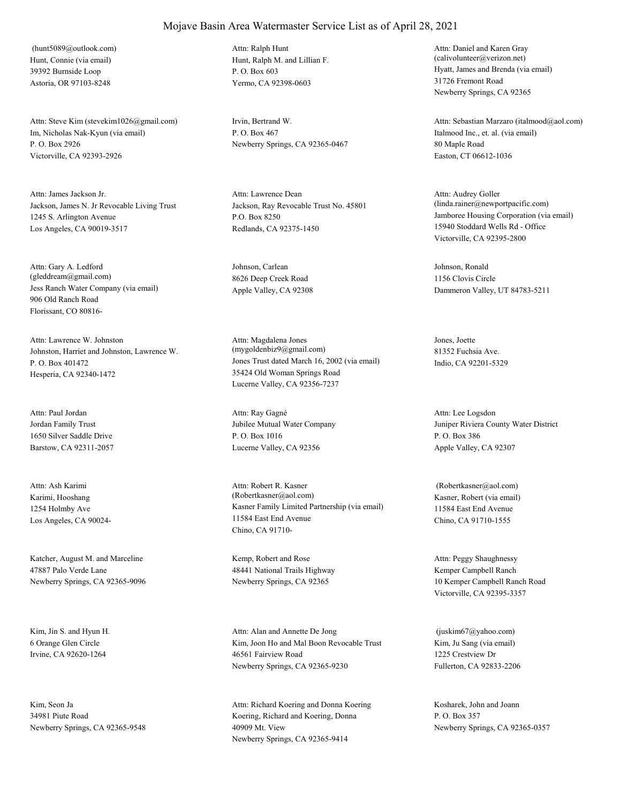Hunt, Connie (via email) 39392 Burnside Loop Astoria, OR 97103-8248 (hunt5089@outlook.com)

Im, Nicholas Nak-Kyun (via email) P. O. Box 2926 Victorville, CA 92393-2926 Attn: Steve Kim (stevekim1026@gmail.com) Irvin, Bertrand W.

Jackson, James N. Jr Revocable Living Trust 1245 S. Arlington Avenue Los Angeles, CA 90019-3517 Attn: James Jackson Jr.

Jess Ranch Water Company (via email) 906 Old Ranch Road Florissant, CO 80816- Attn: Gary A. Ledford (gleddream@gmail.com)

Johnston, Harriet and Johnston, Lawrence W. P. O. Box 401472 Hesperia, CA 92340-1472 Attn: Lawrence W. Johnston

Jordan Family Trust 1650 Silver Saddle Drive Barstow, CA 92311-2057 Attn: Paul Jordan

Karimi, Hooshang 1254 Holmby Ave Los Angeles, CA 90024- Attn: Ash Karimi

Katcher, August M. and Marceline 47887 Palo Verde Lane Newberry Springs, CA 92365-9096

Kim, Jin S. and Hyun H. 6 Orange Glen Circle Irvine, CA 92620-1264

Kim, Seon Ja 34981 Piute Road Newberry Springs, CA 92365-9548 Hunt, Ralph M. and Lillian F. P. O. Box 603 Yermo, CA 92398-0603 Attn: Ralph Hunt

P. O. Box 467 Newberry Springs, CA 92365-0467

Jackson, Ray Revocable Trust No. 45801 P.O. Box 8250 Redlands, CA 92375-1450 Attn: Lawrence Dean

Johnson, Carlean 8626 Deep Creek Road Apple Valley, CA 92308

Jones Trust dated March 16, 2002 (via email) 35424 Old Woman Springs Road Lucerne Valley, CA 92356-7237 Attn: Magdalena Jones (mygoldenbiz9@gmail.com)

Jubilee Mutual Water Company P. O. Box 1016 Lucerne Valley, CA 92356 Attn: Ray Gagné

Kasner Family Limited Partnership (via email) 11584 East End Avenue Chino, CA 91710- Attn: Robert R. Kasner (Robertkasner@aol.com) Kasner, Robert (via email)

Kemp, Robert and Rose 48441 National Trails Highway Newberry Springs, CA 92365

Kim, Joon Ho and Mal Boon Revocable Trust 46561 Fairview Road Newberry Springs, CA 92365-9230 Attn: Alan and Annette De Jong

Koering, Richard and Koering, Donna 40909 Mt. View Newberry Springs, CA 92365-9414 Attn: Richard Koering and Donna Koering Kosharek, John and Joann

Hyatt, James and Brenda (via email) 31726 Fremont Road Newberry Springs, CA 92365 Attn: Daniel and Karen Gray (calivolunteer@verizon.net)

Italmood Inc., et. al. (via email) 80 Maple Road Easton, CT 06612-1036 Attn: Sebastian Marzaro (italmood@aol.com)

Jamboree Housing Corporation (via email) 15940 Stoddard Wells Rd - Office Victorville, CA 92395-2800 Attn: Audrey Goller (linda.rainer@newportpacific.com)

Johnson, Ronald 1156 Clovis Circle Dammeron Valley, UT 84783-5211

Jones, Joette 81352 Fuchsia Ave. Indio, CA 92201-5329

Juniper Riviera County Water District P. O. Box 386 Apple Valley, CA 92307 Attn: Lee Logsdon

11584 East End Avenue Chino, CA 91710-1555 (Robertkasner@aol.com)

Kemper Campbell Ranch 10 Kemper Campbell Ranch Road Victorville, CA 92395-3357 Attn: Peggy Shaughnessy

Kim, Ju Sang (via email) 1225 Crestview Dr Fullerton, CA 92833-2206 (juskim67@yahoo.com)

P. O. Box 357 Newberry Springs, CA 92365-0357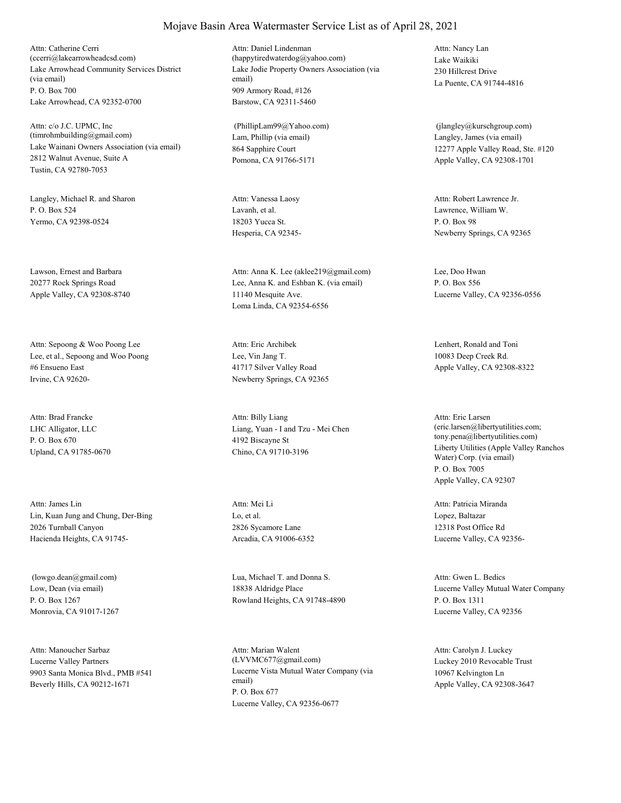Lake Arrowhead Community Services District (via email) P. O. Box 700 Lake Arrowhead, CA 92352-0700 Attn: Catherine Cerri (ccerri@lakearrowheadcsd.com)

Lake Wainani Owners Association (via email) 2812 Walnut Avenue, Suite A Tustin, CA 92780-7053 Attn: c/o J.C. UPMC, Inc (timrohmbuilding@gmail.com) Lam, Phillip (via email)

Langley, Michael R. and Sharon P. O. Box 524 Yermo, CA 92398-0524

Lawson, Ernest and Barbara 20277 Rock Springs Road Apple Valley, CA 92308-8740

Lee, et al., Sepoong and Woo Poong #6 Ensueno East Irvine, CA 92620- Attn: Sepoong & Woo Poong Lee

LHC Alligator, LLC P. O. Box 670 Upland, CA 91785-0670 Attn: Brad Francke

Lin, Kuan Jung and Chung, Der-Bing 2026 Turnball Canyon Hacienda Heights, CA 91745- Attn: James Lin

Low, Dean (via email) P. O. Box 1267 Monrovia, CA 91017-1267

Lucerne Valley Partners 9903 Santa Monica Blvd., PMB #541 Beverly Hills, CA 90212-1671 Attn: Manoucher Sarbaz

Lake Jodie Property Owners Association (via email) 909 Armory Road, #126 Barstow, CA 92311-5460 Attn: Daniel Lindenman (happytiredwaterdog@yahoo.com) Lake Waikiki

864 Sapphire Court Pomona, CA 91766-5171 (PhillipLam99@Yahoo.com)

Lavanh, et al. 18203 Yucca St. Hesperia, CA 92345- Attn: Vanessa Laosy

Lee, Anna K. and Eshban K. (via email) 11140 Mesquite Ave. Loma Linda, CA 92354-6556 Attn: Anna K. Lee (aklee219@gmail.com) Lee, Doo Hwan

Lee, Vin Jang T. 41717 Silver Valley Road Newberry Springs, CA 92365 Attn: Eric Archibek Lenhert, Ronald and Toni

Liang, Yuan - I and Tzu - Mei Chen 4192 Biscayne St Chino, CA 91710-3196 Attn: Billy Liang

Lo, et al. 2826 Sycamore Lane Arcadia, CA 91006-6352 Attn: Mei Li

 (lowgo.dean@gmail.com) Lua, Michael T. and Donna S. 18838 Aldridge Place Rowland Heights, CA 91748-4890

> Lucerne Vista Mutual Water Company (via email) P. O. Box 677 Lucerne Valley, CA 92356-0677 Attn: Marian Walent (LVVMC677@gmail.com) Luckey 2010 Revocable Trust

230 Hillcrest Drive La Puente, CA 91744-4816 Attn: Nancy Lan

Langley, James (via email) 12277 Apple Valley Road, Ste. #120 Apple Valley, CA 92308-1701 (jlangley@kurschgroup.com)

Lawrence, William W. P. O. Box 98 Newberry Springs, CA 92365 Attn: Robert Lawrence Jr.

P. O. Box 556 Lucerne Valley, CA 92356-0556

10083 Deep Creek Rd. Apple Valley, CA 92308-8322

Liberty Utilities (Apple Valley Ranchos Water) Corp. (via email) P. O. Box 7005 Apple Valley, CA 92307 Attn: Eric Larsen (eric.larsen@libertyutilities.com; tony.pena@libertyutilities.com)

Lopez, Baltazar 12318 Post Office Rd Lucerne Valley, CA 92356- Attn: Patricia Miranda

Lucerne Valley Mutual Water Company P. O. Box 1311 Lucerne Valley, CA 92356 Attn: Gwen L. Bedics

10967 Kelvington Ln Apple Valley, CA 92308-3647 Attn: Carolyn J. Luckey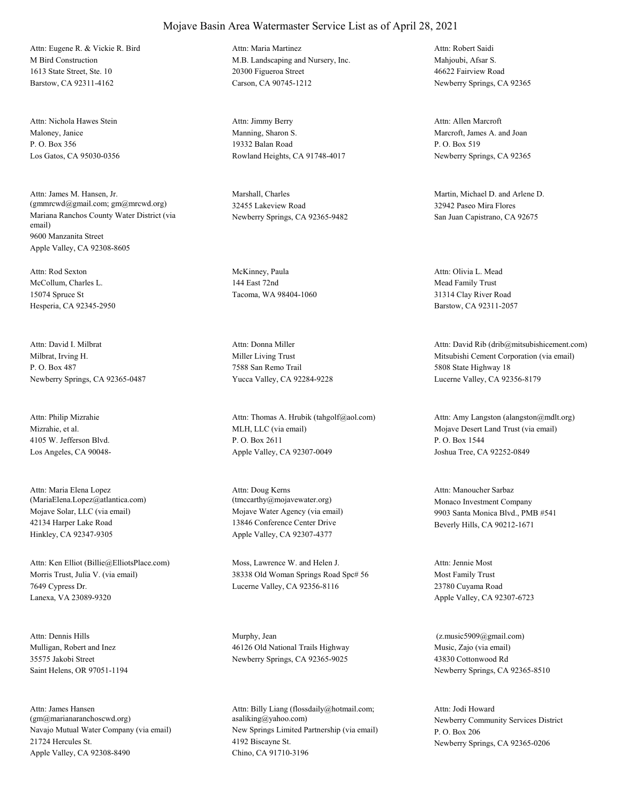M Bird Construction 1613 State Street, Ste. 10 Barstow, CA 92311-4162 Attn: Eugene R. & Vickie R. Bird

Maloney, Janice P. O. Box 356 Los Gatos, CA 95030-0356 Attn: Nichola Hawes Stein

Mariana Ranchos County Water District (via email) 9600 Manzanita Street Apple Valley, CA 92308-8605 Attn: James M. Hansen, Jr. (gmmrcwd@gmail.com; gm@mrcwd.org)

McCollum, Charles L. 15074 Spruce St Hesperia, CA 92345-2950 Attn: Rod Sexton McKinney, Paula

Milbrat, Irving H. P. O. Box 487 Newberry Springs, CA 92365-0487 Attn: David I. Milbrat

Mizrahie, et al. 4105 W. Jefferson Blvd. Los Angeles, CA 90048- Attn: Philip Mizrahie

Mojave Solar, LLC (via email) 42134 Harper Lake Road Hinkley, CA 92347-9305 Attn: Maria Elena Lopez (MariaElena.Lopez@atlantica.com)

Morris Trust, Julia V. (via email) 7649 Cypress Dr. Lanexa, VA 23089-9320 Attn: Ken Elliot (Billie@ElliotsPlace.com) Moss, Lawrence W. and Helen J.

Mulligan, Robert and Inez 35575 Jakobi Street Saint Helens, OR 97051-1194 Attn: Dennis Hills Murphy, Jean

Navajo Mutual Water Company (via email) 21724 Hercules St. Apple Valley, CA 92308-8490 Attn: James Hansen (gm@marianaranchoscwd.org)

# Mojave Basin Area Watermaster Service List as of April 28, 2021

M.B. Landscaping and Nursery, Inc. 20300 Figueroa Street Carson, CA 90745-1212 Attn: Maria Martinez

Manning, Sharon S. 19332 Balan Road Rowland Heights, CA 91748-4017 Attn: Jimmy Berry

Marshall, Charles 32455 Lakeview Road Newberry Springs, CA 92365-9482

144 East 72nd Tacoma, WA 98404-1060

Miller Living Trust 7588 San Remo Trail Yucca Valley, CA 92284-9228 Attn: Donna Miller

MLH, LLC (via email) P. O. Box 2611 Apple Valley, CA 92307-0049 Attn: Thomas A. Hrubik (tahgolf@aol.com)

Mojave Water Agency (via email) 13846 Conference Center Drive Apple Valley, CA 92307-4377 Attn: Doug Kerns (tmccarthy@mojavewater.org) Monaco Investment Company

38338 Old Woman Springs Road Spc# 56 Lucerne Valley, CA 92356-8116

46126 Old National Trails Highway Newberry Springs, CA 92365-9025

New Springs Limited Partnership (via email) 4192 Biscayne St. Chino, CA 91710-3196 Attn: Billy Liang (flossdaily@hotmail.com; asaliking@yahoo.com) Newberry Community Services District

Mahjoubi, Afsar S. 46622 Fairview Road Newberry Springs, CA 92365 Attn: Robert Saidi

Marcroft, James A. and Joan P. O. Box 519 Newberry Springs, CA 92365 Attn: Allen Marcroft

Martin, Michael D. and Arlene D. 32942 Paseo Mira Flores San Juan Capistrano, CA 92675

Mead Family Trust 31314 Clay River Road Barstow, CA 92311-2057 Attn: Olivia L. Mead

Mitsubishi Cement Corporation (via email) 5808 State Highway 18 Lucerne Valley, CA 92356-8179 Attn: David Rib (drib@mitsubishicement.com)

Mojave Desert Land Trust (via email) P. O. Box 1544 Joshua Tree, CA 92252-0849 Attn: Amy Langston (alangston@mdlt.org)

9903 Santa Monica Blvd., PMB #541 Beverly Hills, CA 90212-1671 Attn: Manoucher Sarbaz

Most Family Trust 23780 Cuyama Road Apple Valley, CA 92307-6723 Attn: Jennie Most

Music, Zajo (via email) 43830 Cottonwood Rd Newberry Springs, CA 92365-8510 (z.music5909@gmail.com)

P. O. Box 206 Newberry Springs, CA 92365-0206 Attn: Jodi Howard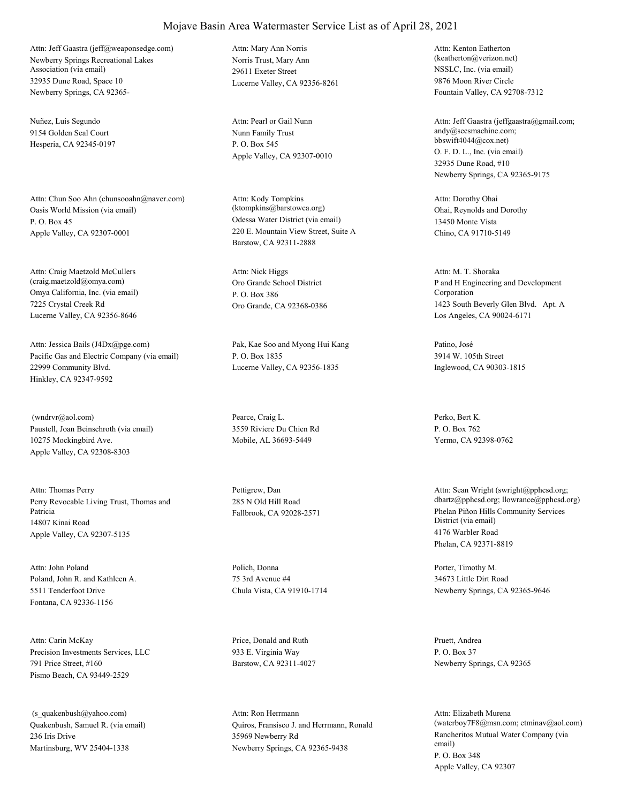Newberry Springs Recreational Lakes Association (via email) 32935 Dune Road, Space 10 Newberry Springs, CA 92365- Attn: Jeff Gaastra (jeff@weaponsedge.com)

Nuñez, Luis Segundo 9154 Golden Seal Court Hesperia, CA 92345-0197

Oasis World Mission (via email) P. O. Box 45 Apple Valley, CA 92307-0001 Attn: Chun Soo Ahn (chunsooahn@naver.com)

Omya California, Inc. (via email) 7225 Crystal Creek Rd Lucerne Valley, CA 92356-8646 Attn: Craig Maetzold McCullers (craig.maetzold@omya.com) Oro Grande School District

Pacific Gas and Electric Company (via email) 22999 Community Blvd. Hinkley, CA 92347-9592 Attn: Jessica Bails (J4Dx@pge.com) Pak, Kae Soo and Myong Hui Kang

Paustell, Joan Beinschroth (via email) 10275 Mockingbird Ave. Apple Valley, CA 92308-8303 (wndrvr@aol.com) Pearce, Craig L.

Perry Revocable Living Trust, Thomas and Patricia 14807 Kinai Road Apple Valley, CA 92307-5135 Attn: Thomas Perry Pettigrew, Dan

Poland, John R. and Kathleen A. 5511 Tenderfoot Drive Fontana, CA 92336-1156 Attn: John Poland Polich, Donna

Precision Investments Services, LLC 791 Price Street, #160 Pismo Beach, CA 93449-2529 Attn: Carin McKay Price, Donald and Ruth

Quakenbush, Samuel R. (via email) 236 Iris Drive Martinsburg, WV 25404-1338 (s\_quakenbush@yahoo.com)

Norris Trust, Mary Ann 29611 Exeter Street Lucerne Valley, CA 92356-8261 Attn: Mary Ann Norris

Nunn Family Trust P. O. Box 545 Apple Valley, CA 92307-0010 Attn: Pearl or Gail Nunn

Odessa Water District (via email) 220 E. Mountain View Street, Suite A Barstow, CA 92311-2888 Attn: Kody Tompkins (ktompkins@barstowca.org) Ohai, Reynolds and Dorothy

P. O. Box 386 Oro Grande, CA 92368-0386 Attn: Nick Higgs

P. O. Box 1835 Lucerne Valley, CA 92356-1835

3559 Riviere Du Chien Rd Mobile, AL 36693-5449

285 N Old Hill Road

75 3rd Avenue #4 Chula Vista, CA 91910-1714

933 E. Virginia Way Barstow, CA 92311-4027

Quiros, Fransisco J. and Herrmann, Ronald 35969 Newberry Rd Newberry Springs, CA 92365-9438 Attn: Ron Herrmann

NSSLC, Inc. (via email) 9876 Moon River Circle Fountain Valley, CA 92708-7312 Attn: Kenton Eatherton (keatherton@verizon.net)

O. F. D. L., Inc. (via email) 32935 Dune Road, #10 Newberry Springs, CA 92365-9175 Attn: Jeff Gaastra (jeffgaastra@gmail.com; andy@seesmachine.com; bbswift4044@cox.net)

13450 Monte Vista Chino, CA 91710-5149 Attn: Dorothy Ohai

P and H Engineering and Development Corporation 1423 South Beverly Glen Blvd. Apt. A Los Angeles, CA 90024-6171 Attn: M. T. Shoraka

Patino, José 3914 W. 105th Street Inglewood, CA 90303-1815

Perko, Bert K. P. O. Box 762 Yermo, CA 92398-0762

Fallbrook, CA 92028-2571 Phelan Piñon Hills Community Services District (via email) 4176 Warbler Road Phelan, CA 92371-8819 Attn: Sean Wright (swright@pphcsd.org; dbartz@pphcsd.org; llowrance@pphcsd.org)

> Porter, Timothy M. 34673 Little Dirt Road Newberry Springs, CA 92365-9646

Pruett, Andrea P. O. Box 37 Newberry Springs, CA 92365

Rancheritos Mutual Water Company (via email) P. O. Box 348 Apple Valley, CA 92307 Attn: Elizabeth Murena (waterboy7F8@msn.com; etminav@aol.com)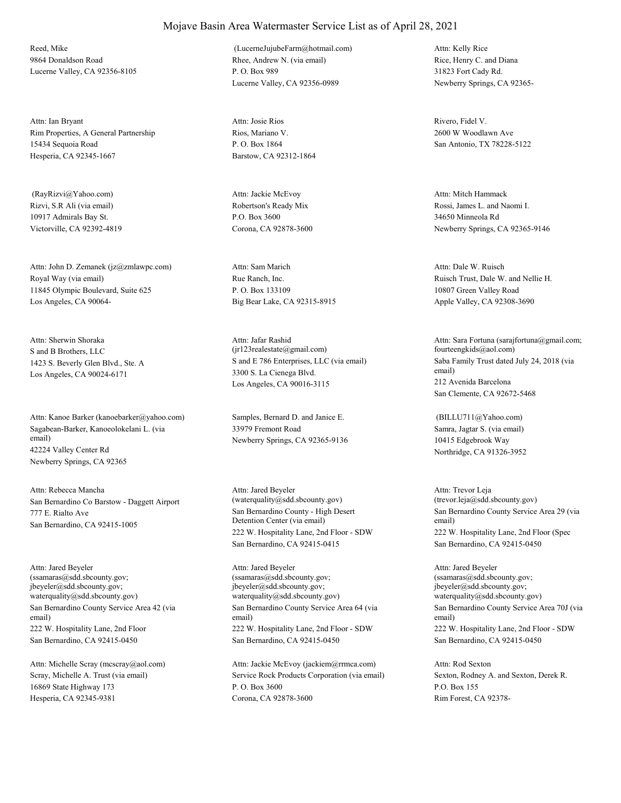Reed, Mike 9864 Donaldson Road Lucerne Valley, CA 92356-8105

Rim Properties, A General Partnership 15434 Sequoia Road Hesperia, CA 92345-1667 Attn: Ian Bryant

Rizvi, S.R Ali (via email) 10917 Admirals Bay St. Victorville, CA 92392-4819 (RayRizvi@Yahoo.com)

Royal Way (via email) 11845 Olympic Boulevard, Suite 625 Los Angeles, CA 90064- Attn: John D. Zemanek (jz@zmlawpc.com)

S and B Brothers, LLC 1423 S. Beverly Glen Blvd., Ste. A Los Angeles, CA 90024-6171 Attn: Sherwin Shoraka

Sagabean-Barker, Kanoeolokelani L. (via email) 42224 Valley Center Rd Newberry Springs, CA 92365 Attn: Kanoe Barker (kanoebarker@yahoo.com) Samples, Bernard D. and Janice E.

San Bernardino Co Barstow - Daggett Airport 777 E. Rialto Ave San Bernardino, CA 92415-1005 Attn: Rebecca Mancha

San Bernardino County Service Area 42 (via email) 222 W. Hospitality Lane, 2nd Floor San Bernardino, CA 92415-0450 Attn: Jared Beyeler (ssamaras@sdd.sbcounty.gov; jbeyeler@sdd.sbcounty.gov; waterquality@sdd.sbcounty.gov)

Scray, Michelle A. Trust (via email) 16869 State Highway 173 Hesperia, CA 92345-9381 Attn: Michelle Scray (mcscray@aol.com)

#### Rhee, Andrew N. (via email) P. O. Box 989 Lucerne Valley, CA 92356-0989 (LucerneJujubeFarm@hotmail.com)

Rios, Mariano V. P. O. Box 1864 Barstow, CA 92312-1864 Attn: Josie Rios Rivero, Fidel V.

Robertson's Ready Mix P.O. Box 3600 Corona, CA 92878-3600 Attn: Jackie McEvoy

Rue Ranch, Inc. P. O. Box 133109 Big Bear Lake, CA 92315-8915 Attn: Sam Marich

S and E 786 Enterprises, LLC (via email) 3300 S. La Cienega Blvd. Los Angeles, CA 90016-3115 Attn: Jafar Rashid (jr123realestate@gmail.com)

33979 Fremont Road Newberry Springs, CA 92365-9136

San Bernardino County - High Desert Detention Center (via email) 222 W. Hospitality Lane, 2nd Floor - SDW San Bernardino, CA 92415-0415 Attn: Jared Beyeler (waterquality@sdd.sbcounty.gov)

San Bernardino County Service Area 64 (via email) 222 W. Hospitality Lane, 2nd Floor - SDW San Bernardino, CA 92415-0450 Attn: Jared Beyeler (ssamaras@sdd.sbcounty.gov; jbeyeler@sdd.sbcounty.gov; waterquality@sdd.sbcounty.gov)

Service Rock Products Corporation (via email) P. O. Box 3600 Corona, CA 92878-3600 Attn: Jackie McEvoy (jackiem@rrmca.com)

Rice, Henry C. and Diana 31823 Fort Cady Rd. Newberry Springs, CA 92365- Attn: Kelly Rice

2600 W Woodlawn Ave San Antonio, TX 78228-5122

Rossi, James L. and Naomi I. 34650 Minneola Rd Newberry Springs, CA 92365-9146 Attn: Mitch Hammack

Ruisch Trust, Dale W. and Nellie H. 10807 Green Valley Road Apple Valley, CA 92308-3690 Attn: Dale W. Ruisch

Saba Family Trust dated July 24, 2018 (via email) 212 Avenida Barcelona San Clemente, CA 92672-5468 Attn: Sara Fortuna (sarajfortuna@gmail.com; fourteengkids@aol.com)

Samra, Jagtar S. (via email) 10415 Edgebrook Way Northridge, CA 91326-3952 (BILLU711@Yahoo.com)

San Bernardino County Service Area 29 (via email) 222 W. Hospitality Lane, 2nd Floor (Spec San Bernardino, CA 92415-0450 Attn: Trevor Leja (trevor.leja@sdd.sbcounty.gov)

San Bernardino County Service Area 70J (via email) 222 W. Hospitality Lane, 2nd Floor - SDW San Bernardino, CA 92415-0450 Attn: Jared Beyeler (ssamaras@sdd.sbcounty.gov; jbeyeler@sdd.sbcounty.gov; waterquality@sdd.sbcounty.gov)

Sexton, Rodney A. and Sexton, Derek R. P.O. Box 155 Rim Forest, CA 92378- Attn: Rod Sexton

## Mojave Basin Area Watermaster Service List as of April 28, 2021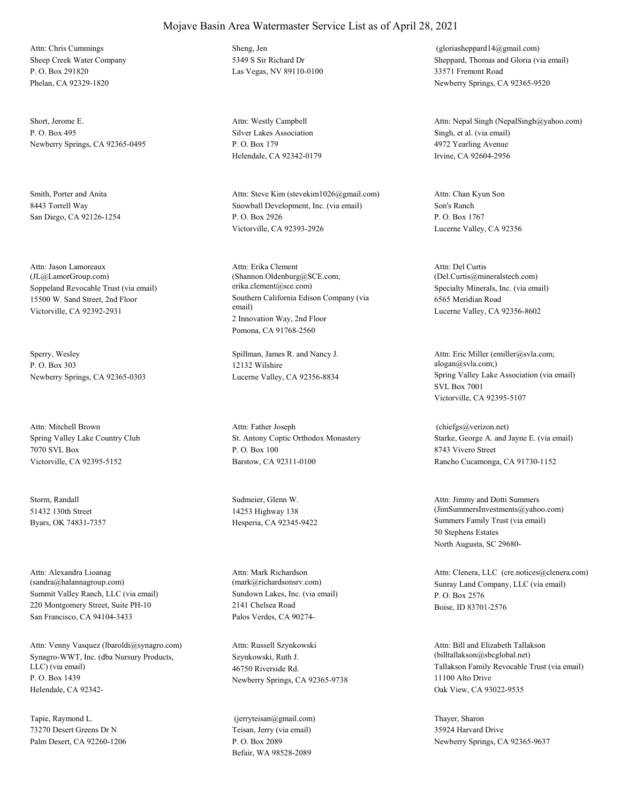Sheep Creek Water Company P. O. Box 291820 Phelan, CA 92329-1820 Attn: Chris Cummings Sheng, Jen

Short, Jerome E. P. O. Box 495 Newberry Springs, CA 92365-0495

Smith, Porter and Anita 8443 Torrell Way San Diego, CA 92126-1254

Soppeland Revocable Trust (via email) 15500 W. Sand Street, 2nd Floor Victorville, CA 92392-2931 Attn: Jason Lamoreaux (JL@LamorGroup.com)

Sperry, Wesley P. O. Box 303 Newberry Springs, CA 92365-0303

Spring Valley Lake Country Club 7070 SVL Box Victorville, CA 92395-5152 Attn: Mitchell Brown

Storm, Randall 51432 130th Street Byars, OK 74831-7357

Summit Valley Ranch, LLC (via email) 220 Montgomery Street, Suite PH-10 San Francisco, CA 94104-3433 Attn: Alexandra Lioanag (sandra@halannagroup.com)

Synagro-WWT, Inc. (dba Nursury Products, LLC) (via email) P. O. Box 1439 Helendale, CA 92342- Attn: Venny Vasquez (lbaroldi@synagro.com)

Tapie, Raymond L. 73270 Desert Greens Dr N Palm Desert, CA 92260-1206 5349 S Sir Richard Dr Las Vegas, NV 89110-0100

Silver Lakes Association P. O. Box 179 Helendale, CA 92342-0179 Attn: Westly Campbell

Snowball Development, Inc. (via email) P. O. Box 2926 Victorville, CA 92393-2926 Attn: Steve Kim (stevekim1026@gmail.com)

Southern California Edison Company (via email) 2 Innovation Way, 2nd Floor Pomona, CA 91768-2560 Attn: Erika Clement (Shannon.Oldenburg@SCE.com; erika.clement@sce.com) Specialty Minerals, Inc. (via email)

Spillman, James R. and Nancy J. 12132 Wilshire

St. Antony Coptic Orthodox Monastery P. O. Box 100 Barstow, CA 92311-0100 Attn: Father Joseph

Sudmeier, Glenn W. 14253 Highway 138

Sundown Lakes, Inc. (via email) 2141 Chelsea Road Palos Verdes, CA 90274- Attn: Mark Richardson

Szynkowski, Ruth J. 46750 Riverside Rd. Newberry Springs, CA 92365-9738 Attn: Russell Szynkowski

Teisan, Jerry (via email) P. O. Box 2089 Befair, WA 98528-2089 (jerryteisan@gmail.com) Thayer, Sharon

Sheppard, Thomas and Gloria (via email) 33571 Fremont Road Newberry Springs, CA 92365-9520 (gloriasheppard14@gmail.com)

Singh, et al. (via email) 4972 Yearling Avenue Irvine, CA 92604-2956 Attn: Nepal Singh (NepalSingh@yahoo.com)

Son's Ranch P. O. Box 1767 Lucerne Valley, CA 92356 Attn: Chan Kyun Son

6565 Meridian Road Lucerne Valley, CA 92356-8602 Attn: Del Curtis (Del.Curtis@mineralstech.com)

Lucerne Valley, CA 92356-8834 Spring Valley Lake Association (via email) SVL Box 7001 Victorville, CA 92395-5107 Attn: Eric Miller (emiller@svla.com; alogan@svla.com;)

> Starke, George A. and Jayne E. (via email) 8743 Vivero Street Rancho Cucamonga, CA 91730-1152 (chiefgs@verizon.net)

Hesperia, CA 92345-9422 Summers Family Trust (via email) 50 Stephens Estates North Augusta, SC 29680- Attn: Jimmy and Dotti Summers (JimSummersInvestments@yahoo.com)

(mark@richardsonsrv.com) Sunray Land Company, LLC (via email) P. O. Box 2576 Boise, ID 83701-2576 Attn: Clenera, LLC (cre.notices@clenera.com)

> Tallakson Family Revocable Trust (via email) 11100 Alto Drive Oak View, CA 93022-9535 Attn: Bill and Elizabeth Tallakson (billtallakson@sbcglobal.net)

35924 Harvard Drive Newberry Springs, CA 92365-9637

#### Mojave Basin Area Watermaster Service List as of April 28, 2021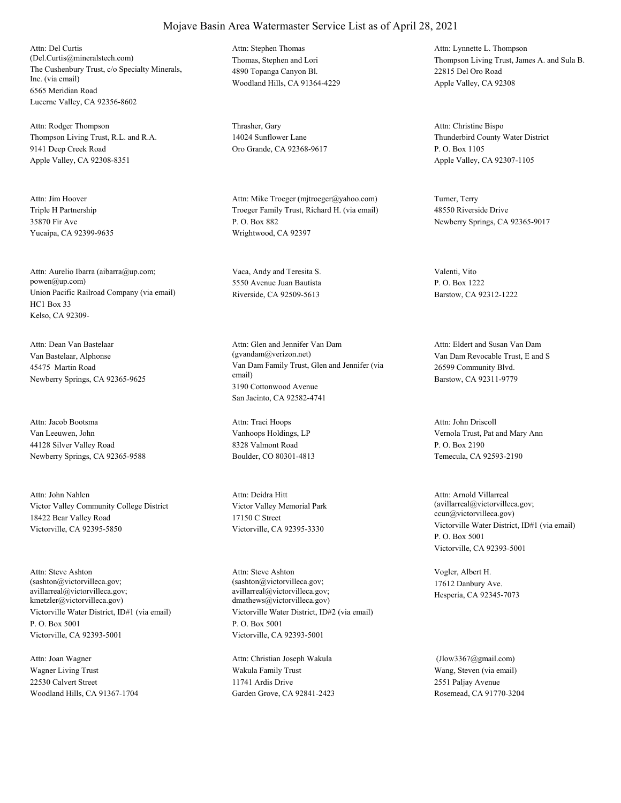The Cushenbury Trust, c/o Specialty Minerals, Inc. (via email) 6565 Meridian Road Lucerne Valley, CA 92356-8602 Attn: Del Curtis (Del.Curtis@mineralstech.com) Thomas, Stephen and Lori

Thompson Living Trust, R.L. and R.A. 9141 Deep Creek Road Apple Valley, CA 92308-8351 Attn: Rodger Thompson Thrasher, Gary

Triple H Partnership 35870 Fir Ave Yucaipa, CA 92399-9635 Attn: Jim Hoover

Union Pacific Railroad Company (via email) HC1 Box 33 Kelso, CA 92309- Attn: Aurelio Ibarra (aibarra@up.com; powen@up.com)

Van Bastelaar, Alphonse 45475 Martin Road Newberry Springs, CA 92365-9625 Attn: Dean Van Bastelaar

Van Leeuwen, John 44128 Silver Valley Road Newberry Springs, CA 92365-9588 Attn: Jacob Bootsma

Victor Valley Community College District 18422 Bear Valley Road Victorville, CA 92395-5850 Attn: John Nahlen

Victorville Water District, ID#1 (via email) P. O. Box 5001 Victorville, CA 92393-5001 Attn: Steve Ashton (sashton@victorvilleca.gov; avillarreal@victorvilleca.gov; kmetzler@victorvilleca.gov)

Wagner Living Trust 22530 Calvert Street Woodland Hills, CA 91367-1704 Attn: Joan Wagner

4890 Topanga Canyon Bl. Woodland Hills, CA 91364-4229 Attn: Stephen Thomas

14024 Sunflower Lane Oro Grande, CA 92368-9617

Troeger Family Trust, Richard H. (via email) P. O. Box 882 Wrightwood, CA 92397 Attn: Mike Troeger (mjtroeger@yahoo.com) Turner, Terry

Vaca, Andy and Teresita S. 5550 Avenue Juan Bautista Riverside, CA 92509-5613

Van Dam Family Trust, Glen and Jennifer (via email) 3190 Cottonwood Avenue San Jacinto, CA 92582-4741 Attn: Glen and Jennifer Van Dam (gvandam@verizon.net) Van Dam Revocable Trust, E and S

Vanhoops Holdings, LP 8328 Valmont Road Boulder, CO 80301-4813 Attn: Traci Hoops

Victor Valley Memorial Park 17150 C Street Victorville, CA 92395-3330 Attn: Deidra Hitt

Victorville Water District, ID#2 (via email) P. O. Box 5001 Victorville, CA 92393-5001 Attn: Steve Ashton (sashton@victorvilleca.gov; avillarreal@victorvilleca.gov; dmathews@victorvilleca.gov)

Wakula Family Trust 11741 Ardis Drive Garden Grove, CA 92841-2423 Attn: Christian Joseph Wakula

Thompson Living Trust, James A. and Sula B. 22815 Del Oro Road Apple Valley, CA 92308 Attn: Lynnette L. Thompson

Thunderbird County Water District P. O. Box 1105 Apple Valley, CA 92307-1105 Attn: Christine Bispo

48550 Riverside Drive Newberry Springs, CA 92365-9017

Valenti, Vito P. O. Box 1222 Barstow, CA 92312-1222

26599 Community Blvd. Barstow, CA 92311-9779 Attn: Eldert and Susan Van Dam

Vernola Trust, Pat and Mary Ann P. O. Box 2190 Temecula, CA 92593-2190 Attn: John Driscoll

Victorville Water District, ID#1 (via email) P. O. Box 5001 Victorville, CA 92393-5001 Attn: Arnold Villarreal (avillarreal@victorvilleca.gov; ccun@victorvilleca.gov)

Vogler, Albert H. 17612 Danbury Ave. Hesperia, CA 92345-7073

Wang, Steven (via email) 2551 Paljay Avenue Rosemead, CA 91770-3204 (Jlow3367@gmail.com)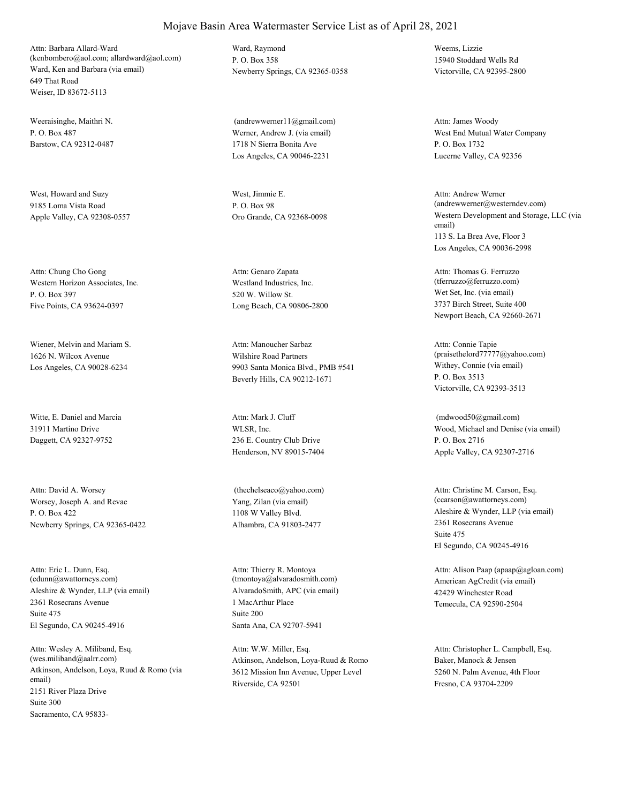Ward, Ken and Barbara (via email) 649 That Road Weiser, ID 83672-5113 Attn: Barbara Allard-Ward (kenbombero@aol.com; allardward@aol.com)

Weeraisinghe, Maithri N.  $P$ . O. Box 487 Barstow, CA 92312-0487

West, Howard and Suzy 9185 Loma Vista Road Apple Valley, CA 92308-0557

Western Horizon Associates, Inc. P. O. Box 397 Five Points, CA 93624-0397 Attn: Chung Cho Gong

Wiener, Melvin and Mariam S. 1626 N. Wilcox Avenue Los Angeles, CA 90028-6234

Witte, E. Daniel and Marcia 31911 Martino Drive Daggett, CA 92327-9752

Worsey, Joseph A. and Revae P. O. Box 422 Newberry Springs, CA 92365-0422 Attn: David A. Worsey

Aleshire & Wynder, LLP (via email) 2361 Rosecrans Avenue El Segundo, CA 90245-4916 Attn: Eric L. Dunn, Esq. (edunn@awattorneys.com) Suite 475

Atkinson, Andelson, Loya, Ruud & Romo (via email) 2151 River Plaza Drive Sacramento, CA 95833- Attn: Wesley A. Miliband, Esq. (wes.miliband@aalrr.com) Suite 300

Ward, Raymond P. O. Box 358 Newberry Springs, CA 92365-0358

Werner, Andrew J. (via email) 1718 N Sierra Bonita Ave Los Angeles, CA 90046-2231 (andrewwerner11@gmail.com)

West, Jimmie E. P. O. Box 98

Westland Industries, Inc. 520 W. Willow St. Long Beach, CA 90806-2800 Attn: Genaro Zapata

Wilshire Road Partners 9903 Santa Monica Blvd., PMB #541 Beverly Hills, CA 90212-1671 Attn: Manoucher Sarbaz

WLSR, Inc. 236 E. Country Club Drive Henderson, NV 89015-7404 Attn: Mark J. Cluff

Yang, Zilan (via email) 1108 W Valley Blvd. Alhambra, CA 91803-2477 (thechelseaco@yahoo.com)

AlvaradoSmith, APC (via email) 1 MacArthur Place Santa Ana, CA 92707-5941 Attn: Thierry R. Montoya (tmontoya@alvaradosmith.com) Suite 200

Atkinson, Andelson, Loya-Ruud & Romo 3612 Mission Inn Avenue, Upper Level Riverside, CA 92501 Attn: W.W. Miller, Esq.

Weems, Lizzie 15940 Stoddard Wells Rd Victorville, CA 92395-2800

West End Mutual Water Company P. O. Box 1732 Lucerne Valley, CA 92356 Attn: James Woody

Oro Grande, CA 92368-0098 Western Development and Storage, LLC (via email) 113 S. La Brea Ave, Floor 3 Los Angeles, CA 90036-2998 Attn: Andrew Werner (andrewwerner@westerndev.com)

> Wet Set, Inc. (via email) 3737 Birch Street, Suite 400 Newport Beach, CA 92660-2671 Attn: Thomas G. Ferruzzo (tferruzzo@ferruzzo.com)

Withey, Connie (via email) P. O. Box 3513 Victorville, CA 92393-3513 Attn: Connie Tapie (praisethelord77777@yahoo.com)

Wood, Michael and Denise (via email) P. O. Box 2716 Apple Valley, CA 92307-2716 (mdwood50@gmail.com)

Aleshire & Wynder, LLP (via email) 2361 Rosecrans Avenue El Segundo, CA 90245-4916 Attn: Christine M. Carson, Esq. (ccarson@awattorneys.com) Suite 475

American AgCredit (via email) 42429 Winchester Road Temecula, CA 92590-2504 Attn: Alison Paap (apaap@agloan.com)

Baker, Manock & Jensen 5260 N. Palm Avenue, 4th Floor Fresno, CA 93704-2209 Attn: Christopher L. Campbell, Esq.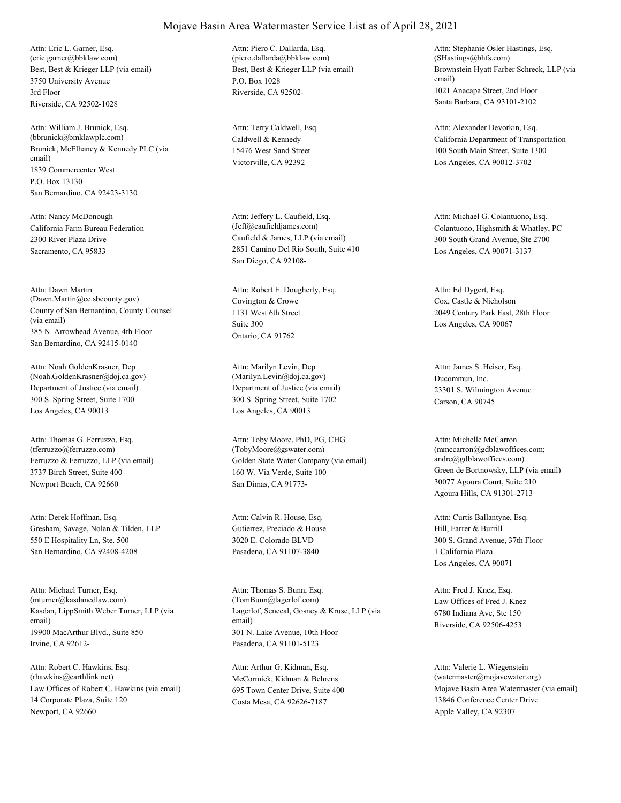Best, Best & Krieger LLP (via email) 3750 University Avenue Riverside, CA 92502-1028 Attn: Eric L. Garner, Esq. (eric.garner@bbklaw.com) 3rd Floor

Brunick, McElhaney & Kennedy PLC (via email) 1839 Commercenter West San Bernardino, CA 92423-3130 Attn: William J. Brunick, Esq. (bbrunick@bmklawplc.com) P.O. Box 13130

California Farm Bureau Federation 2300 River Plaza Drive Sacramento, CA 95833 Attn: Nancy McDonough

County of San Bernardino, County Counsel (via email) 385 N. Arrowhead Avenue, 4th Floor San Bernardino, CA 92415-0140 Attn: Dawn Martin (Dawn.Martin@cc.sbcounty.gov) Covington & Crowe

Department of Justice (via email) 300 S. Spring Street, Suite 1700 Los Angeles, CA 90013 Attn: Noah GoldenKrasner, Dep (Noah.GoldenKrasner@doj.ca.gov)

Ferruzzo & Ferruzzo, LLP (via email) 3737 Birch Street, Suite 400 Newport Beach, CA 92660 Attn: Thomas G. Ferruzzo, Esq. (tferruzzo@ferruzzo.com)

Gresham, Savage, Nolan & Tilden, LLP 550 E Hospitality Ln, Ste. 500 San Bernardino, CA 92408-4208 Attn: Derek Hoffman, Esq.

Kasdan, LippSmith Weber Turner, LLP (via email) 19900 MacArthur Blvd., Suite 850 Irvine, CA 92612- Attn: Michael Turner, Esq. (mturner@kasdancdlaw.com)

Law Offices of Robert C. Hawkins (via email) 14 Corporate Plaza, Suite 120 Newport, CA 92660 Attn: Robert C. Hawkins, Esq. (rhawkins@earthlink.net) McCormick, Kidman & Behrens

Best, Best & Krieger LLP (via email) P.O. Box 1028 Riverside, CA 92502- Attn: Piero C. Dallarda, Esq. (piero.dallarda@bbklaw.com)

Caldwell & Kennedy 15476 West Sand Street Victorville, CA 92392 Attn: Terry Caldwell, Esq.

Caufield & James, LLP (via email) 2851 Camino Del Rio South, Suite 410 San Diego, CA 92108- Attn: Jeffery L. Caufield, Esq.

1131 West 6th Street Ontario, CA 91762 Attn: Robert E. Dougherty, Esq. Suite 300

Department of Justice (via email) 300 S. Spring Street, Suite 1702 Los Angeles, CA 90013 Attn: Marilyn Levin, Dep (Marilyn.Levin@doj.ca.gov) Ducommun, Inc.

Golden State Water Company (via email) 160 W. Via Verde, Suite 100 San Dimas, CA 91773- Attn: Toby Moore, PhD, PG, CHG (TobyMoore@gswater.com)

Gutierrez, Preciado & House 3020 E. Colorado BLVD Pasadena, CA 91107-3840 Attn: Calvin R. House, Esq.

Lagerlof, Senecal, Gosney & Kruse, LLP (via email) 301 N. Lake Avenue, 10th Floor Pasadena, CA 91101-5123 Attn: Thomas S. Bunn, Esq. (TomBunn@lagerlof.com) Law Offices of Fred J. Knez

695 Town Center Drive, Suite 400 Costa Mesa, CA 92626-7187 Attn: Arthur G. Kidman, Esq.

Brownstein Hyatt Farber Schreck, LLP (via email) 1021 Anacapa Street, 2nd Floor Santa Barbara, CA 93101-2102 Attn: Stephanie Osler Hastings, Esq. (SHastings@bhfs.com)

California Department of Transportation 100 South Main Street, Suite 1300 Los Angeles, CA 90012-3702 Attn: Alexander Devorkin, Esq.

(Jeff@caufieldjames.com) Colantuono, Highsmith & Whatley, PC 300 South Grand Avenue, Ste 2700 Los Angeles, CA 90071-3137 Attn: Michael G. Colantuono, Esq.

> Cox, Castle & Nicholson 2049 Century Park East, 28th Floor Los Angeles, CA 90067 Attn: Ed Dygert, Esq.

23301 S. Wilmington Avenue Carson, CA 90745 Attn: James S. Heiser, Esq.

Green de Bortnowsky, LLP (via email) 30077 Agoura Court, Suite 210 Agoura Hills, CA 91301-2713 Attn: Michelle McCarron (mmccarron@gdblawoffices.com; andre@gdblawoffices.com)

Hill, Farrer & Burrill 300 S. Grand Avenue, 37th Floor Los Angeles, CA 90071 Attn: Curtis Ballantyne, Esq. 1 California Plaza

6780 Indiana Ave, Ste 150 Riverside, CA 92506-4253 Attn: Fred J. Knez, Esq.

Mojave Basin Area Watermaster (via email) 13846 Conference Center Drive Apple Valley, CA 92307 Attn: Valerie L. Wiegenstein (watermaster@mojavewater.org)